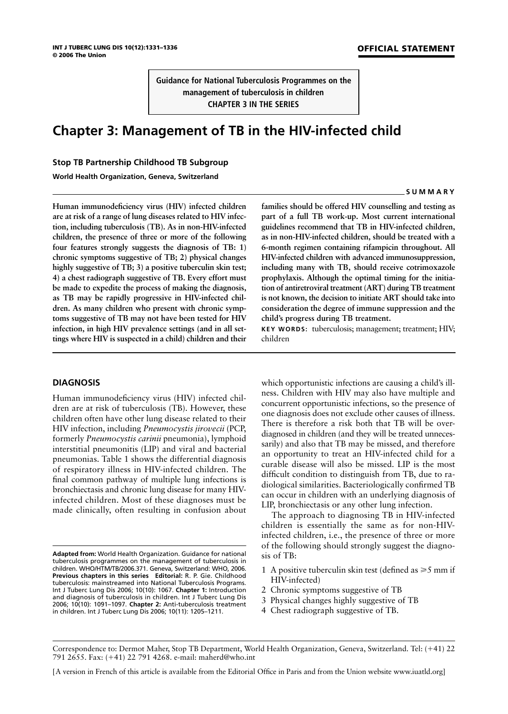**Guidance for National Tuberculosis Programmes on the management of tuberculosis in children CHAPTER 3 IN THE SERIES**

# **Chapter 3: Management of TB in the HIV-infected child**

# **Stop TB Partnership Childhood TB Subgroup**

**World Health Organization, Geneva, Switzerland**

**Human immunodeficiency virus (HIV) infected children are at risk of a range of lung diseases related to HIV infection, including tuberculosis (TB). As in non-HIV-infected children, the presence of three or more of the following four features strongly suggests the diagnosis of TB: 1) chronic symptoms suggestive of TB; 2) physical changes highly suggestive of TB; 3) a positive tuberculin skin test; 4) a chest radiograph suggestive of TB. Every effort must be made to expedite the process of making the diagnosis, as TB may be rapidly progressive in HIV-infected children. As many children who present with chronic symptoms suggestive of TB may not have been tested for HIV infection, in high HIV prevalence settings (and in all settings where HIV is suspected in a child) children and their**

## **DIAGNOSIS**

Human immunodeficiency virus (HIV) infected children are at risk of tuberculosis (TB). However, these children often have other lung disease related to their HIV infection, including *Pneumocystis jirovecii* (PCP, formerly *Pneumocystis carinii* pneumonia), lymphoid interstitial pneumonitis (LIP) and viral and bacterial pneumonias. Table 1 shows the differential diagnosis of respiratory illness in HIV-infected children. The final common pathway of multiple lung infections is bronchiectasis and chronic lung disease for many HIVinfected children. Most of these diagnoses must be made clinically, often resulting in confusion about

**families should be offered HIV counselling and testing as part of a full TB work-up. Most current international guidelines recommend that TB in HIV-infected children, as in non-HIV-infected children, should be treated with a 6-month regimen containing rifampicin throughout. All HIV-infected children with advanced immunosuppression, including many with TB, should receive cotrimoxazole prophylaxis. Although the optimal timing for the initiation of antiretroviral treatment (ART) during TB treatment is not known, the decision to initiate ART should take into consideration the degree of immune suppression and the child's progress during TB treatment.**

**KEY WORDS:** tuberculosis; management; treatment; HIV; children

which opportunistic infections are causing a child's illness. Children with HIV may also have multiple and concurrent opportunistic infections, so the presence of one diagnosis does not exclude other causes of illness. There is therefore a risk both that TB will be overdiagnosed in children (and they will be treated unnecessarily) and also that TB may be missed, and therefore an opportunity to treat an HIV-infected child for a curable disease will also be missed. LIP is the most difficult condition to distinguish from TB, due to radiological similarities. Bacteriologically confirmed TB can occur in children with an underlying diagnosis of LIP, bronchiectasis or any other lung infection.

The approach to diagnosing TB in HIV-infected children is essentially the same as for non-HIVinfected children, i.e., the presence of three or more of the following should strongly suggest the diagnosis of TB:

- 1 A positive tuberculin skin test (defined as  $\geq 5$  mm if HIV-infected)
- 2 Chronic symptoms suggestive of TB
- 3 Physical changes highly suggestive of TB
- 4 Chest radiograph suggestive of TB.

#### **SUMMARY**

**Adapted from:** World Health Organization. Guidance for national tuberculosis programmes on the management of tuberculosis in children. WHO/HTM/TB/2006.371. Geneva, Switzerland: WHO, 2006. **Previous chapters in this series Editorial:** R. P. Gie. Childhood tuberculosis: mainstreamed into National Tuberculosis Programs. Int J Tuberc Lung Dis 2006; 10(10): 1067. **Chapter 1:** Introduction and diagnosis of tuberculosis in children. Int J Tuberc Lung Dis 2006; 10(10): 1091–1097. **Chapter 2:** Anti-tuberculosis treatment in children. Int J Tuberc Lung Dis 2006; 10(11): 1205–1211.

Correspondence to: Dermot Maher, Stop TB Department, World Health Organization, Geneva, Switzerland. Tel: (41) 22 791 2655. Fax: (41) 22 791 4268. e-mail: maherd@who.int

<sup>[</sup>A version in French of this article is available from the Editorial Office in Paris and from the Union website www.iuatld.org]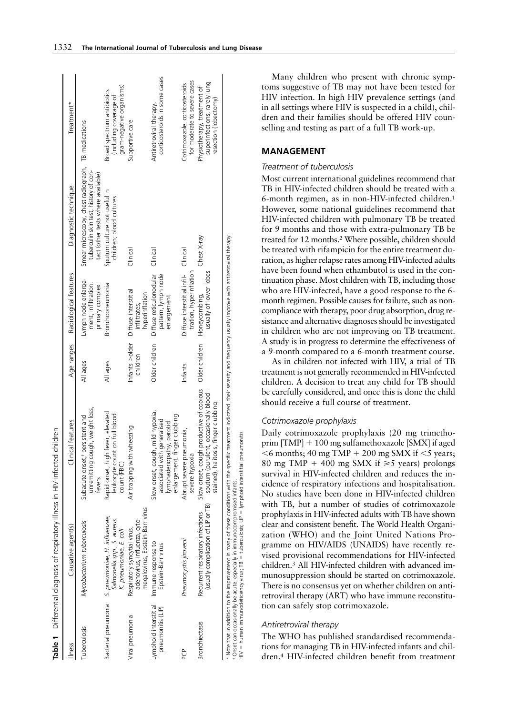|                                            | Table 1 Differential diagnosis of respiratory illness in HIV-infected                                                                                                                                                                                                                | children                                                                                                                       |                            |                                                                                                |                                                                                                                                   |                                                                                      |
|--------------------------------------------|--------------------------------------------------------------------------------------------------------------------------------------------------------------------------------------------------------------------------------------------------------------------------------------|--------------------------------------------------------------------------------------------------------------------------------|----------------------------|------------------------------------------------------------------------------------------------|-----------------------------------------------------------------------------------------------------------------------------------|--------------------------------------------------------------------------------------|
| llIness                                    | Causative agent(s)                                                                                                                                                                                                                                                                   | Clinical features                                                                                                              | Age ranges                 | Radiological features                                                                          | Diagnostic technique                                                                                                              | Treatment*                                                                           |
| Tuberculosis                               | Mycobacterium tuberculosis                                                                                                                                                                                                                                                           | unremitting cough, weight loss,<br>Subacute onset, <sup>+</sup> persistent and<br>tevers                                       | All ages                   | Lymph node enlarge-<br>ment, infiltration,<br>primary complex                                  | Smear microscopy, chest radiograph, TB medications<br>tuberculin skin test, history of con-<br>tact (other tests where available) |                                                                                      |
| Bacterial pneumonia                        | S. pneumoniae, H. influenzae,<br>Salmonella spp., S. aureus,<br>K. pneumoniae, E. coli                                                                                                                                                                                               | fever, elevated<br>leukocyte count on full blood<br>Rapid onset, high<br>count (FBC)                                           | All ages                   | Bronchopneumonia                                                                               | Sputum culture not useful in<br>children; blood cultures                                                                          | gram-negative organisms)<br>Broad spectrum antibiotics<br>(including coverage of     |
| Viral pneumonia                            | megalovirus, Epstein-Barr virus<br>adenovirus, influenza, cyto-<br>Respiratory syncytial virus,                                                                                                                                                                                      | Air trapping with wheezing                                                                                                     | Infants >older<br>children | Diffuse interstitial<br>hyperinflation<br>infiltrates,                                         | Clinical                                                                                                                          | Supportive care                                                                      |
| Lymphoid interstitial<br>pneumonitis (LIP) | Immune response to<br>Epstein-Barr virus                                                                                                                                                                                                                                             | Slow onset, cough, mild hypoxia,<br>enlargement, finger clubbing<br>generalised<br>lymphadenopathy, parotid<br>associated with | Older children             | Diffuse reticulonodular<br>pattern, lymph node<br>enlargement                                  | Clinical                                                                                                                          | corticosteroids in some cases<br>Antiretroviral therapy,                             |
| ဉ်                                         | Pneumocystis jirovecii                                                                                                                                                                                                                                                               | Abrupt severe pneumonia,<br>severe hypoxia                                                                                     | Infants                    | tration, hyperinflation<br>Diffuse interstitial infil-                                         | Clinical                                                                                                                          | for moderate to severe cases<br>Cotrimoxazole, corticosteroids                       |
| <b>Bronchiectasis</b>                      | (usually complication of LIP or TB)<br>Recurrent respiratory infections                                                                                                                                                                                                              | Slow onset, cough productive of copious<br>sputum (purulent, occasionally blood-<br>stained), halitosis, finger clubbing       | Older children             | usually of lower lobes<br>Honeycombing,                                                        | Chest X-ray                                                                                                                       | superinfections, rarely lung<br>Physiotherapy, treatment of<br>resection (lobectomy) |
|                                            | HIV = human immunodeficiency virus; TB = tuberculosis; LIP = lymphoid interstitial pneumonitis.<br>* Note that in addition to the improvement in many of these conditions with the specific<br><sup>†</sup> Onset can occasionally be acute, especially in immunocompromised infants |                                                                                                                                |                            | treatment indicated, their severity and frequency usually improve with antiretroviral therapy. |                                                                                                                                   |                                                                                      |

Many children who present with chronic symptoms suggestive of TB may not have been tested for HIV infection. In high HIV prevalence settings (and in all settings where HIV is suspected in a child), children and their families should be offered HIV counselling and testing as part of a full TB work-up.

# **MANAGEMENT**

## *Treatment of tuberculosis*

Most current international guidelines recommend that TB in HIV-infected children should be treated with a 6-month regimen, as in non-HIV-infected children.1 However, some national guidelines recommend that HIV-infected children with pulmonary TB be treated for 9 months and those with extra-pulmonary TB be treated for 12 months.2 Where possible, children should be treated with rifampicin for the entire treatment duration, as higher relapse rates among HIV-infected adults have been found when ethambutol is used in the continuation phase. Most children with TB, including those who are HIV-infected, have a good response to the 6 month regimen. Possible causes for failure, such as noncompliance with therapy, poor drug absorption, drug resistance and alternative diagnoses should be investigated in children who are not improving on TB treatment. A study is in progress to determine the effectiveness of a 9-month compared to a 6-month treatment course.

As in children not infected with HIV, a trial of TB treatment is not generally recommended in HIV-infected children. A decision to treat any child for TB should be carefully considered, and once this is done the child should receive a full course of treatment.

## *Cotrimoxazole prophylaxis*

Daily cotrimoxazole prophylaxis (20 mg trimethoprim  $[TMP] + 100$  mg sulfamethoxazole  $[SMX]$  if aged  $6$  months; 40 mg TMP + 200 mg SMX if  $5$  years; 80 mg TMP + 400 mg SMX if  $\geq 5$  years) prolongs survival in HIV-infected children and reduces the incidence of respiratory infections and hospitalisation. No studies have been done in HIV-infected children with TB, but a number of studies of cotrimoxazole prophylaxis in HIV-infected adults with TB have shown clear and consistent benefit. The World Health Organization (WHO) and the Joint United Nations Programme on HIV/AIDS (UNAIDS) have recently revised provisional recommendations for HIV-infected children.3 All HIV-infected children with advanced immunosuppression should be started on cotrimoxazole. There is no consensus yet on whether children on antiretroviral therapy (ART) who have immune reconstitution can safely stop cotrimoxazole.

## *Antiretroviral therapy*

The WHO has published standardised recommendations for managing TB in HIV-infected infants and children.4 HIV-infected children benefit from treatment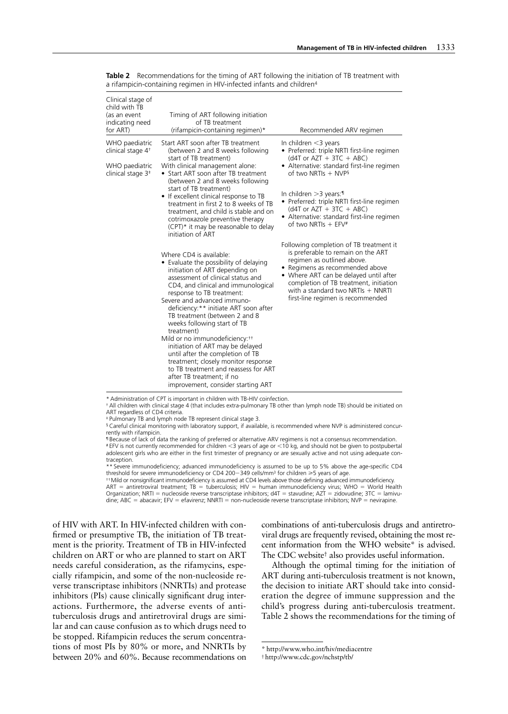| Clinical stage of<br>child with TB<br>(as an event<br>indicating need<br>for ART) | Timing of ART following initiation<br>of TB treatment<br>(rifampicin-containing regimen)*                                                                                                                                                                                                                                                                                                                                                                                                                                                                                                                                                    | Recommended ARV regimen                                                                                                                                                                                                                                                                                        |
|-----------------------------------------------------------------------------------|----------------------------------------------------------------------------------------------------------------------------------------------------------------------------------------------------------------------------------------------------------------------------------------------------------------------------------------------------------------------------------------------------------------------------------------------------------------------------------------------------------------------------------------------------------------------------------------------------------------------------------------------|----------------------------------------------------------------------------------------------------------------------------------------------------------------------------------------------------------------------------------------------------------------------------------------------------------------|
| WHO paediatric<br>clinical stage 4 <sup>+</sup>                                   | Start ART soon after TB treatment<br>(between 2 and 8 weeks following                                                                                                                                                                                                                                                                                                                                                                                                                                                                                                                                                                        | In children $<$ 3 years<br>• Preferred: triple NRTI first-line regimen                                                                                                                                                                                                                                         |
| WHO paediatric<br>clinical stage 3 <sup>+</sup>                                   | start of TB treatment)<br>With clinical management alone:<br>• Start ART soon after TB treatment<br>(between 2 and 8 weeks following                                                                                                                                                                                                                                                                                                                                                                                                                                                                                                         | $(d4T or AZT + 3TC + ABC)$<br>• Alternative: standard first-line regimen<br>of two NRTIs $+$ NVPs                                                                                                                                                                                                              |
|                                                                                   | start of TB treatment)<br>• If excellent clinical response to TB<br>treatment in first 2 to 8 weeks of TB<br>treatment, and child is stable and on<br>cotrimoxazole preventive therapy<br>(CPT)* it may be reasonable to delay<br>initiation of ART                                                                                                                                                                                                                                                                                                                                                                                          | In children $>$ 3 years: $\mathbb{I}$<br>• Preferred: triple NRTI first-line regimen<br>$(d4T or AZT + 3TC + ABC)$<br>• Alternative: standard first-line regimen<br>of two NRTIs $+$ EFV#                                                                                                                      |
|                                                                                   | Where CD4 is available:<br>• Evaluate the possibility of delaying<br>initiation of ART depending on<br>assessment of clinical status and<br>CD4, and clinical and immunological<br>response to TB treatment:<br>Severe and advanced immuno-<br>deficiency: * * initiate ART soon after<br>TB treatment (between 2 and 8<br>weeks following start of TB<br>treatment)<br>Mild or no immunodeficiency: <sup>++</sup><br>initiation of ART may be delayed<br>until after the completion of TB<br>treatment; closely monitor response<br>to TB treatment and reassess for ART<br>after TB treatment; if no<br>improvement, consider starting ART | Following completion of TB treatment it<br>is preferable to remain on the ART<br>regimen as outlined above.<br>• Regimens as recommended above<br>• Where ART can be delayed until after<br>completion of TB treatment, initiation<br>with a standard two NRTIs $+$ NNRTI<br>first-line regimen is recommended |

**Table 2** Recommendations for the timing of ART following the initiation of TB treatment with a rifampicin-containing regimen in HIV-infected infants and children<sup>4</sup>

\* Administration of CPT is important in children with TB-HIV coinfection.

† All children with clinical stage 4 (that includes extra-pulmonary TB other than lymph node TB) should be initiated on ART regardless of CD4 criteria.

‡ Pulmonary TB and lymph node TB represent clinical stage 3.

§ Careful clinical monitoring with laboratory support, if available, is recommended where NVP is administered concurrently with rifampicin.

¶ Because of lack of data the ranking of preferred or alternative ARV regimens is not a consensus recommendation. # EFV is not currently recommended for children <3 years of age or <10 kg, and should not be given to postpubertal adolescent girls who are either in the first trimester of pregnancy or are sexually active and not using adequate contraception.

\*\* Severe immunodeficiency; advanced immunodeficiency is assumed to be up to 5% above the age-specific CD4 threshold for severe immunodeficiency or CD4 200–349 cells/mm<sup>3</sup> for children  $\geq 5$  years of age.

††Mild or nonsignificant immunodeficiency is assumed at CD4 levels above those defining advanced immunodeficiency.  $ART = antiretroviral treatment; TB = tuberculosis; HIV = human immunodeficiency virus; WHO = World Health$ Organization; NRTI = nucleoside reverse transcriptase inhibitors;  $d4T =$  stavudine;  $AZT =$  zidovudine;  $3TC =$  lamivudine; ABC = abacavir; EFV = efavirenz; NNRTI = non-nucleoside reverse transcriptase inhibitors; NVP = nevirapine.

of HIV with ART. In HIV-infected children with confirmed or presumptive TB, the initiation of TB treatment is the priority. Treatment of TB in HIV-infected children on ART or who are planned to start on ART needs careful consideration, as the rifamycins, especially rifampicin, and some of the non-nucleoside reverse transcriptase inhibitors (NNRTIs) and protease inhibitors (PIs) cause clinically significant drug interactions. Furthermore, the adverse events of antituberculosis drugs and antiretroviral drugs are similar and can cause confusion as to which drugs need to be stopped. Rifampicin reduces the serum concentrations of most PIs by 80% or more, and NNRTIs by between 20% and 60%. Because recommendations on

combinations of anti-tuberculosis drugs and antiretroviral drugs are frequently revised, obtaining the most recent information from the WHO website\* is advised. The CDC website† also provides useful information.

Although the optimal timing for the initiation of ART during anti-tuberculosis treatment is not known, the decision to initiate ART should take into consideration the degree of immune suppression and the child's progress during anti-tuberculosis treatment. Table 2 shows the recommendations for the timing of

<sup>\*</sup> http://www.who.int/hiv/mediacentre

<sup>†</sup> http://www.cdc.gov/nchstp/tb/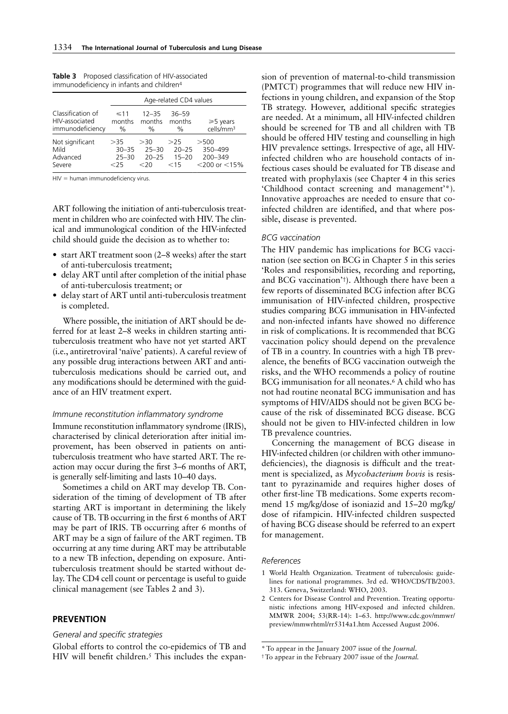|                                                         | Age-related CD4 values               |                                          |                                       |                                                     |  |
|---------------------------------------------------------|--------------------------------------|------------------------------------------|---------------------------------------|-----------------------------------------------------|--|
| Classification of<br>HIV-associated<br>immunodeficiency | $\leq 11$<br>months<br>$\%$          | $12 - 35$<br>months<br>$\%$              | $36 - 59$<br>months<br>$\%$           | $\geqslant$ 5 years<br>cells/mm <sup>3</sup>        |  |
| Not significant<br>Mild<br>Advanced<br>Severe           | >35<br>$30 - 35$<br>$25 - 30$<br><25 | > 30<br>$25 - 30$<br>$20 - 25$<br>$<$ 20 | >25<br>$20 - 25$<br>$15 - 20$<br>< 15 | $>$ 500<br>350-499<br>200-349<br>$<$ 200 or $<$ 15% |  |

**Table 3** Proposed classification of HIV-associated immunodeficiency in infants and children4

 $HIV =$  human immunodeficiency virus.

ART following the initiation of anti-tuberculosis treatment in children who are coinfected with HIV. The clinical and immunological condition of the HIV-infected child should guide the decision as to whether to:

- start ART treatment soon (2–8 weeks) after the start of anti-tuberculosis treatment;
- delay ART until after completion of the initial phase of anti-tuberculosis treatment; or
- delay start of ART until anti-tuberculosis treatment is completed.

Where possible, the initiation of ART should be deferred for at least 2–8 weeks in children starting antituberculosis treatment who have not yet started ART (i.e., antiretroviral 'naïve' patients). A careful review of any possible drug interactions between ART and antituberculosis medications should be carried out, and any modifications should be determined with the guidance of an HIV treatment expert.

#### *Immune reconstitution inflammatory syndrome*

Immune reconstitution inflammatory syndrome (IRIS), characterised by clinical deterioration after initial improvement, has been observed in patients on antituberculosis treatment who have started ART. The reaction may occur during the first 3–6 months of ART, is generally self-limiting and lasts 10–40 days.

Sometimes a child on ART may develop TB. Consideration of the timing of development of TB after starting ART is important in determining the likely cause of TB. TB occurring in the first 6 months of ART may be part of IRIS. TB occurring after 6 months of ART may be a sign of failure of the ART regimen. TB occurring at any time during ART may be attributable to a new TB infection, depending on exposure. Antituberculosis treatment should be started without delay. The CD4 cell count or percentage is useful to guide clinical management (see Tables 2 and 3).

## **PREVENTION**

## *General and specific strategies*

Global efforts to control the co-epidemics of TB and HIV will benefit children.<sup>5</sup> This includes the expan-

sion of prevention of maternal-to-child transmission (PMTCT) programmes that will reduce new HIV infections in young children, and expansion of the Stop TB strategy. However, additional specific strategies are needed. At a minimum, all HIV-infected children should be screened for TB and all children with TB should be offered HIV testing and counselling in high HIV prevalence settings. Irrespective of age, all HIVinfected children who are household contacts of infectious cases should be evaluated for TB disease and treated with prophylaxis (see Chapter 4 in this series 'Childhood contact screening and management'\*). Innovative approaches are needed to ensure that coinfected children are identified, and that where possible, disease is prevented.

### *BCG vaccination*

The HIV pandemic has implications for BCG vaccination (see section on BCG in Chapter 5 in this series 'Roles and responsibilities, recording and reporting, and BCG vaccination'†). Although there have been a few reports of disseminated BCG infection after BCG immunisation of HIV-infected children, prospective studies comparing BCG immunisation in HIV-infected and non-infected infants have showed no difference in risk of complications. It is recommended that BCG vaccination policy should depend on the prevalence of TB in a country. In countries with a high TB prevalence, the benefits of BCG vaccination outweigh the risks, and the WHO recommends a policy of routine BCG immunisation for all neonates.<sup>6</sup> A child who has not had routine neonatal BCG immunisation and has symptoms of HIV/AIDS should not be given BCG because of the risk of disseminated BCG disease. BCG should not be given to HIV-infected children in low TB prevalence countries.

Concerning the management of BCG disease in HIV-infected children (or children with other immunodeficiencies), the diagnosis is difficult and the treatment is specialized, as *Mycobacterium bovis* is resistant to pyrazinamide and requires higher doses of other first-line TB medications. Some experts recommend 15 mg/kg/dose of isoniazid and 15–20 mg/kg/ dose of rifampicin. HIV-infected children suspected of having BCG disease should be referred to an expert for management.

#### *References*

- 1 World Health Organization. Treatment of tuberculosis: guidelines for national programmes. 3rd ed. WHO/CDS/TB/2003. 313. Geneva, Switzerland: WHO, 2003.
- 2 Centers for Disease Control and Prevention. Treating opportunistic infections among HIV-exposed and infected children. MMWR 2004; 53(RR-14): 1–63. http://www.cdc.gov/mmwr/ preview/mmwrhtml/rr5314a1.htm Accessed August 2006.

<sup>\*</sup> To appear in the January 2007 issue of the *Journal*.

<sup>†</sup>To appear in the February 2007 issue of the *Journal.*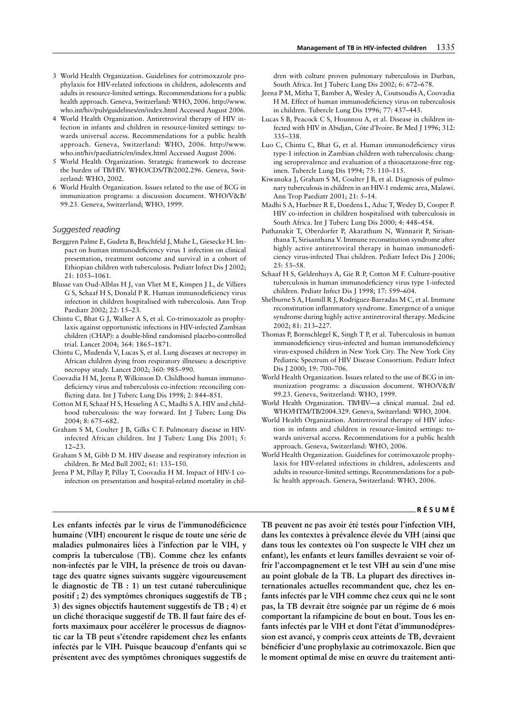- 3 World Health Organization. Guidelines for cotrimoxazole prophylaxis for HIV-related infections in children, adolescents and adults in resource-limited settings. Recommendations for a public health approach. Geneva, Switzerland: WHO, 2006. http://www. who.int/hiv/pub/guidelines/en/index.html Accessed August 2006.
- 4 World Health Organization. Antiretroviral therapy of HIV infection in infants and children in resource-limited settings: towards universal access. Recommendations for a public health approach. Geneva, Switzerland: WHO, 2006. http://www. who.int/hiv/paediatric/en/index.html Accessed August 2006.
- 5 World Health Organization. Strategic framework to decrease the burden of TB/HIV. WHO/CDS/TB/2002.296. Geneva, Switzerland: WHO, 2002.
- 6 World Health Organization. Issues related to the use of BCG in immunization programs: a discussion document. WHO/V&B/ 99.23. Geneva, Switzerland; WHO, 1999.

#### *Suggested reading*

- Berggren Palme E, Gudeta B, Bruchfeld J, Muhe L, Giesecke H. Impact on human immunodeficiency virus 1 infection on clinical presentation, treatment outcome and survival in a cohort of Ethiopian children with tuberculosis. Pediatr Infect Dis J 2002; 21: 1053–1061.
- Blusse van Oud-Alblas H J, van Vliet M E, Kimpen J L, de Villiers G S, Schaaf H S, Donald P R. Human immunodeficiency virus infection in children hospitalised with tuberculosis. Ann Trop Paediatr 2002; 22: 15–23.
- Chintu C, Bhat G J, Walker A S, et al. Co-trimoxazole as prophylaxis against opportunistic infections in HIV-infected Zambian children (CHAP): a double-blind randomised placebo-controlled trial. Lancet 2004; 364: 1865–1871.
- Chintu C, Mudenda V, Lucas S, et al. Lung diseases at necropsy in African children dying from respiratory illnesses: a descriptive necropsy study. Lancet 2002; 360: 985–990.
- Coovadia H M, Jeena P, Wilkinson D. Childhood human immunodeficiency virus and tuberculosis co-infection: reconciling conflicting data. Int J Tuberc Lung Dis 1998; 2: 844–851.
- Cotton M F, Schaaf H S, Hesseling A C, Madhi S A. HIV and childhood tuberculosis: the way forward. Int J Tuberc Lung Dis 2004; 8: 675–682.
- Graham S M, Coulter J B, Gilks C F. Pulmonary disease in HIVinfected African children. Int J Tuberc Lung Dis 2001; 5: 12–23.
- Graham S M, Gibb D M. HIV disease and respiratory infection in children. Br Med Bull 2002; 61: 133–150.
- Jeena P M, Pillay P, Pillay T, Coovadia H M. Impact of HIV-1 coinfection on presentation and hospital-related mortality in chil-

**Les enfants infectés par le virus de l'immunodéficience humaine (VIH) encourent le risque de toute une série de maladies pulmonaires liées à l'infection par le VIH, y compris la tuberculose (TB). Comme chez les enfants non-infectés par le VIH, la présence de trois ou davantage des quatre signes suivants suggère vigoureusement le diagnostic de TB : 1) un test cutané tuberculinique positif ; 2) des symptômes chroniques suggestifs de TB ; 3) des signes objectifs hautement suggestifs de TB ; 4) et un cliché thoracique suggestif de TB. Il faut faire des efforts maximaux pour accélérer le processus de diagnostic car la TB peut s'étendre rapidement chez les enfants infectés par le VIH. Puisque beaucoup d'enfants qui se présentent avec des symptômes chroniques suggestifs de**

dren with culture proven pulmonary tuberculosis in Durban, South Africa. Int J Tuberc Lung Dis 2002; 6: 672–678.

- Jeena P M, Mitha T, Bamber A, Wesley A, Coutsoudis A, Coovadia H M. Effect of human immunodeficiency virus on tuberculosis in children. Tubercle Lung Dis 1996; 77: 437–443.
- Lucas S B, Peacock C S, Hounnou A, et al. Disease in children infected with HIV in Abidjan, Côte d'Ivoire. Br Med J 1996; 312: 335–338.
- Luo C, Chintu C, Bhat G, et al. Human immunodeficiency virus type-1 infection in Zambian children with tuberculosis: changing seroprevalence and evaluation of a thioacetazone-free regimen. Tubercle Lung Dis 1994; 75: 110–115.
- Kiwanuka J, Graham S M, Coulter J B, et al. Diagnosis of pulmonary tuberculosis in children in an HIV-1 endemic area, Malawi. Ann Trop Paediatr 2001; 21: 5–14.
- Madhi S A, Huebner R E, Doedens L, Aduc T, Wesley D, Cooper P. HIV co-infection in children hospitalised with tuberculosis in South Africa. Int J Tuberc Lung Dis 2000; 4: 448–454.
- Puthanakit T, Oberdorfer P, Akarathum N, Wannarit P, Sirisanthana T, Sirisanthana V. Immune reconstitution syndrome after highly active antiretroviral therapy in human immunodeficiency virus-infected Thai children. Pediatr Infect Dis J 2006; 25: 53–58.
- Schaaf H S, Geldenhuys A, Gie R P, Cotton M F. Culture-positive tuberculosis in human immunodeficiency virus type 1-infected children. Pediatr Infect Dis J 1998; 17: 599–604.
- Shelburne S A, Hamill R J, Rodriguez-Barradas M C, et al. Immune reconstitution inflammatory syndrome. Emergence of a unique syndrome during highly active antiretroviral therapy. Medicine 2002; 81: 213–227.
- Thomas P, Bornschlegel K, Singh T P, et al. Tuberculosis in human immunodeficiency virus-infected and human immunodeficiency virus-exposed children in New York City. The New York City Pediatric Spectrum of HIV Disease Consortium. Pediatr Infect Dis J 2000; 19: 700–706.
- World Health Organization. Issues related to the use of BCG in immunization programs: a discussion document. WHO/V&B/ 99.23. Geneva, Switzerland: WHO, 1999.
- World Health Organization. TB/HIV—a clinical manual. 2nd ed. WHO/HTM/TB/2004.329. Geneva, Switzerland: WHO, 2004.
- World Health Organization. Antiretroviral therapy of HIV infection in infants and children in resource-limited settings: towards universal access. Recommendations for a public health approach. Geneva, Switzerland: WHO, 2006.
- World Health Organization. Guidelines for cotrimoxazole prophylaxis for HIV-related infections in children, adolescents and adults in resource-limited settings. Recommendations for a public health approach. Geneva, Switzerland: WHO, 2006.

### **RÉSUMÉ**

**TB peuvent ne pas avoir été testés pour l'infection VIH, dans les contextes à prévalence élevée du VIH (ainsi que dans tous les contextes où l'on suspecte le VIH chez un enfant), les enfants et leurs familles devraient se voir offrir l'accompagnement et le test VIH au sein d'une mise au point globale de la TB. La plupart des directives internationales actuelles recommandent que, chez les enfants infectés par le VIH comme chez ceux qui ne le sont pas, la TB devrait être soignée par un régime de 6 mois comportant la rifampicine de bout en bout. Tous les enfants infectés par le VIH et dont l'état d'immunodépression est avancé, y compris ceux atteints de TB, devraient bénéficier d'une prophylaxie au cotrimoxazole. Bien que le moment optimal de mise en œuvre du traitement anti-**